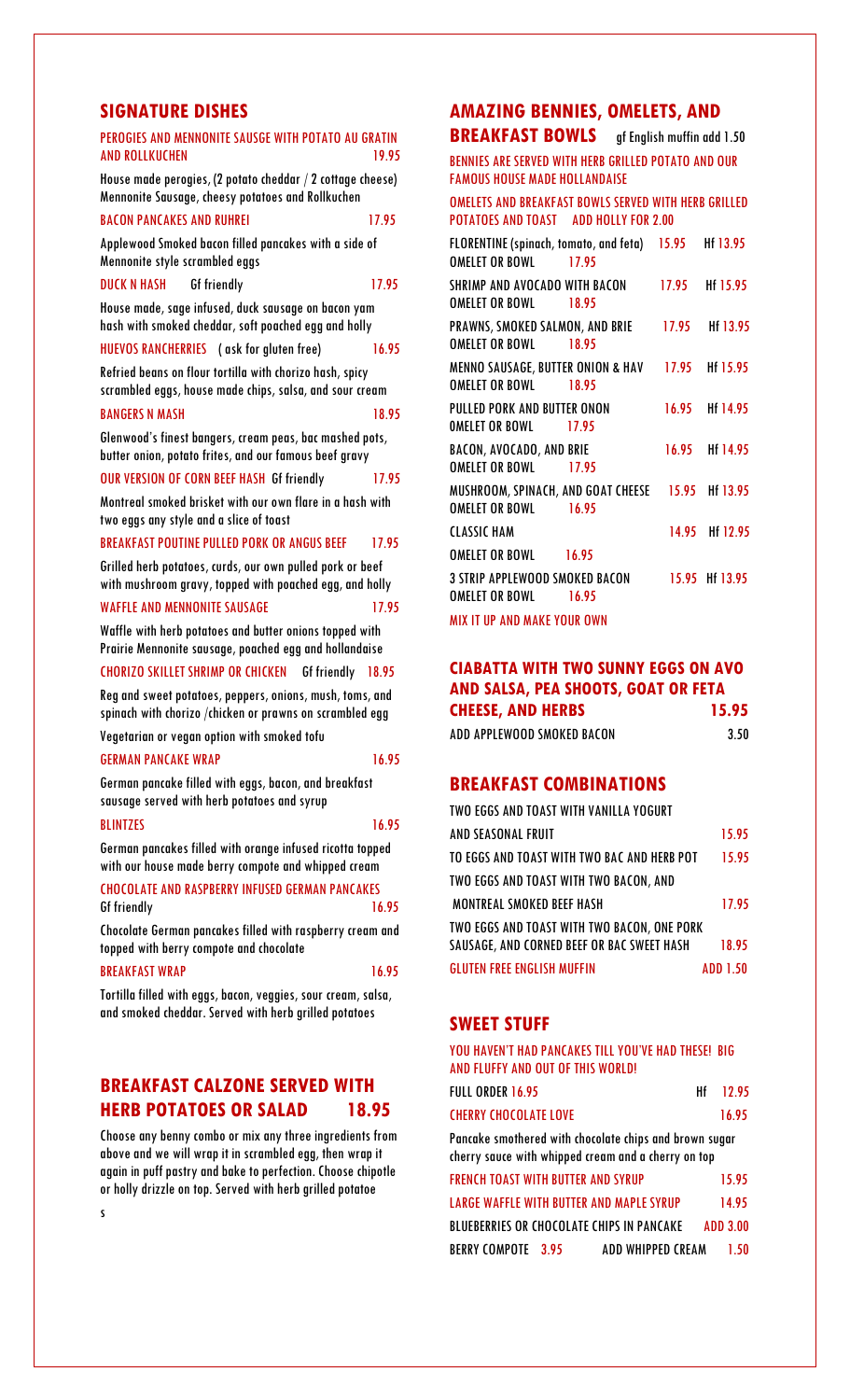# **SIGNATURE DISHES**

| PEROGIES AND MENNONITE SAUSGE WITH POTATO AU GRATIN<br><b>AND ROLLKUCHEN</b><br>19.95                                |  |  |  |
|----------------------------------------------------------------------------------------------------------------------|--|--|--|
| House made perogies, (2 potato cheddar / 2 cottage cheese)<br>Mennonite Sausage, cheesy potatoes and Rollkuchen      |  |  |  |
| <b>BACON PANCAKES AND RUHREI</b><br>17.95                                                                            |  |  |  |
| Applewood Smoked bacon filled pancakes with a side of<br>Mennonite style scrambled eggs                              |  |  |  |
| DUCK N HASH<br><b>Gf friendly</b><br>17.95                                                                           |  |  |  |
| House made, sage infused, duck sausage on bacon yam<br>hash with smoked cheddar, soft poached egg and holly          |  |  |  |
| <b>HUEVOS RANCHERRIES</b> (ask for gluten free)<br>16.95                                                             |  |  |  |
| Refried beans on flour tortilla with chorizo hash, spicy<br>scrambled eggs, house made chips, salsa, and sour cream  |  |  |  |
| <b>BANGERS N MASH</b><br>1895                                                                                        |  |  |  |
| Glenwood's finest bangers, cream peas, bac mashed pots,<br>butter onion, potato frites, and our famous beef gravy    |  |  |  |
| <b>OUR VERSION OF CORN BEEF HASH Gf friendly</b><br>17.95                                                            |  |  |  |
| Montreal smoked brisket with our own flare in a hash with<br>two eggs any style and a slice of toast                 |  |  |  |
| <b>BREAKFAST POUTINE PULLED PORK OR ANGUS BEEF</b><br>17.95                                                          |  |  |  |
| Grilled herb potatoes, curds, our own pulled pork or beef<br>with mushroom gravy, topped with poached egg, and holly |  |  |  |
| <b>WAFFLE AND MENNONITE SAUSAGE</b><br>17.95                                                                         |  |  |  |
| Waffle with herb potatoes and butter onions topped with<br>Prairie Mennonite sausage, poached egg and hollandaise    |  |  |  |
| <b>CHORIZO SKILLET SHRIMP OR CHICKEN Gf friendly</b><br>18.95                                                        |  |  |  |
| Reg and sweet potatoes, peppers, onions, mush, toms, and<br>spinach with chorizo /chicken or prawns on scrambled egg |  |  |  |
| Vegetarian or vegan option with smoked tofu                                                                          |  |  |  |
| <b>GERMAN PANCAKE WRAP</b><br>16.95                                                                                  |  |  |  |
|                                                                                                                      |  |  |  |
| German pancake filled with eggs, bacon, and breakfast<br>sausage served with herb potatoes and syrup                 |  |  |  |
| <b>BLINTZES</b><br>16.95                                                                                             |  |  |  |
| German pancakes filled with orange infused ricotta topped<br>with our house made berry compote and whipped cream     |  |  |  |
| <b>CHOCOLATE AND RASPBERRY INFUSED GERMAN PANCAKES</b><br><b>Gf friendly</b><br>16.95                                |  |  |  |
| Chocolate German pancakes filled with raspberry cream and<br>topped with berry compote and chocolate                 |  |  |  |
| <b>BREAKFAST WRAP</b><br>16.95                                                                                       |  |  |  |

Tortilla filled with eggs, bacon, veggies, sour cream, salsa, and smoked cheddar. Served with herb grilled potatoes

# **BREAKFAST CALZONE SERVED WITH HERB POTATOES OR SALAD 18.95**

Choose any benny combo or mix any three ingredients from above and we will wrap it in scrambled egg, then wrap it again in puff pastry and bake to perfection. Choose chipotle or holly drizzle on top. Served with herb grilled potatoe

s

# **AMAZING BENNIES, OMELETS, AND**

**BREAKFAST BOWLS** gf English muffin add 1.50

BENNIES ARE SERVED WITH HERB GRILLED POTATO AND OUR FAMOUS HOUSE MADE HOLLANDAISE

OMELETS AND BREAKFAST BOWLS SERVED WITH HERB GRILLED POTATOES AND TOAST ADD HOLLY FOR 2.00

| FLORENTINE (spinach, tomato, and feta)            | 15.95 | Hf 13.95       |
|---------------------------------------------------|-------|----------------|
| OMELET OR BOWL<br>17.95                           |       |                |
| SHRIMP AND AVOCADO WITH BACON                     |       | 17.95 Hf 15.95 |
| <b>OMELET OR BOWL 18.95</b>                       |       |                |
| PRAWNS, SMOKED SALMON, AND BRIE                   | 17.95 | Hf 13.95       |
| <b>OMELET OR BOWL</b><br>1895                     |       |                |
| MENNO SAUSAGE, BUTTER ONION & HAV 17.95 Hf 15.95  |       |                |
| <b>OMELET OR BOWL</b><br>18.95                    |       |                |
| PULLED PORK AND BUTTER ONON                       |       | 16.95 Hf 14.95 |
| OMELET OR BOWL<br>17.95                           |       |                |
| <b>BACON, AVOCADO, AND BRIE</b>                   |       | 16.95 Hf 14.95 |
| <b>OMELET OR BOWL</b><br>17.95                    |       |                |
| MUSHROOM, SPINACH, AND GOAT CHEESE 15.95 Hf 13.95 |       |                |
| <b>OMELET OR BOWL</b><br>16.95                    |       |                |
| <b>CLASSIC HAM</b>                                |       | 14.95 Hf 12.95 |
| <b>OMELET OR BOWL 16.95</b>                       |       |                |
| 3 STRIP APPLEWOOD SMOKED BACON                    |       | 15.95 H 13.95  |
| OMELET OR BOWL<br>16.95                           |       |                |
| <b>MIX IT UP AND MAKE YOUR OWN</b>                |       |                |

**CIABATTA WITH TWO SUNNY EGGS ON AVO AND SALSA, PEA SHOOTS, GOAT OR FETA CHEESE, AND HERBS 15.95** 

| ADD APPLEWOOD SMOKED BACON | 3.50 |
|----------------------------|------|
|                            |      |

# **BREAKFAST COMBINATIONS**

| TWO EGGS AND TOAST WITH VANILLA YOGURT      |                 |
|---------------------------------------------|-----------------|
| AND SEASONAL FRUIT                          | 15.95           |
| TO EGGS AND TOAST WITH TWO BAC AND HERB POT | 15.95           |
| TWO EGGS AND TOAST WITH TWO BACON, AND      |                 |
| <b>MONTREAL SMOKED BEEF HASH</b>            | 17.95           |
| TWO EGGS AND TOAST WITH TWO BACON, ONE PORK |                 |
| SAUSAGE, AND CORNED BEEF OR BAC SWEET HASH  | 18.95           |
| <b>GLUTEN FREE ENGLISH MUFFIN</b>           | <b>ADD 1.50</b> |

# **SWEET STUFF**

YOU HAVEN'T HAD PANCAKES TILL YOU'VE HAD THESE! BIG AND FLUFFY AND OUT OF THIS WORLD!

| FULL ORDER 16.95             | $Hf = 12.95$ |
|------------------------------|--------------|
| <b>CHERRY CHOCOLATE LOVE</b> | 16.95        |

Pancake smothered with chocolate chips and brown sugar cherry sauce with whipped cream and a cherry on top

| <b>FRENCH TOAST WITH BUTTER AND SYRUP</b> |                                           | 1595      |
|-------------------------------------------|-------------------------------------------|-----------|
|                                           | LARGE WAFFLE WITH BUTTER AND MAPLE SYRUP  | 1495      |
|                                           | BLUEBERRIES OR CHOCOLATE CHIPS IN PANCAKE | ADD 3 00. |
| BERRY COMPOTE 3.95                        | ADD WHIPPED CREAM                         | 1.50      |